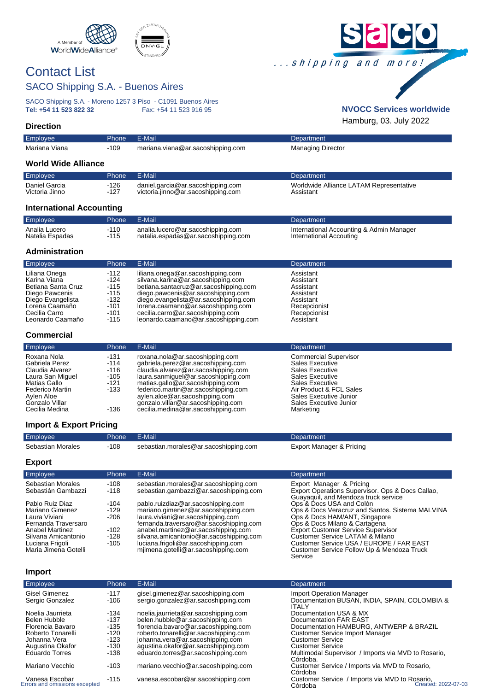



# Contact List SACO Shipping S.A. - Buenos Aires

SACO Shipping S.A. - Moreno 1257 3 Piso - C1091 Buenos Aires **Tel: +54 11 523 822 32** Fax: +54 11 523 916 95

#### **Direction**

| Employee      | Phone : | . E-Mail                          | Department        |
|---------------|---------|-----------------------------------|-------------------|
| Mariana Viana | $-109$  | mariana.viana@ar.sacoshipping.com | Managing Director |

Hamburg, 03. July 2022 **NVOCC Services worldwide**

... shipping and more!

#### **World Wide Alliance**

| Employee       | Phone  | E-Mail                             | Department                              |
|----------------|--------|------------------------------------|-----------------------------------------|
| Daniel Garcia  | -126   | daniel.garcia@ar.sacoshipping.com  | Worldwide Alliance LATAM Representative |
| Victoria Jinno | $-127$ | victoria.jinno@ar.sacoshipping.com | Assistant                               |

#### **International Accounting**

| Employee        | Phone  | E-Mail                              | Department                               |
|-----------------|--------|-------------------------------------|------------------------------------------|
| Analia Lucero   | $-110$ | analia.lucero@ar.sacoshipping.com   | International Accounting & Admin Manager |
| Natalia Espadas | $-115$ | natalia.espadas@ar.sacoshipping.com | International Accouting                  |

#### **Administration**

| <b>Employee</b>    | Phone  | E-Mail                                | Department   |
|--------------------|--------|---------------------------------------|--------------|
| Liliana Onega      | $-112$ | liliana.onega@ar.sacoshipping.com     | Assistant    |
| Karina Viana       | -124   | silvana.karina@ar.sacoshipping.com    | Assistant    |
| Betiana Santa Cruz | $-115$ | betiana.santacruz@ar.sacoshipping.com | Assistant    |
| Diego Pawcenis     | $-115$ | diego.pawcenis@ar.sacoshipping.com    | Assistant    |
| Diego Evangelista  | -132   | diego.evangelista@ar.sacoshipping.com | Assistant    |
| Lorena Caamaño     | $-101$ | lorena.caamano@ar.sacoshipping.com    | Recepcionist |
| Cecilia Carro      | $-101$ | cecilia.carro@ar.sacoshipping.com     | Recepcionist |
| Leonardo Caamaño   | $-115$ | leonardo.caamano@ar.sacoshipping.com  | Assistant    |

#### **Commercial**

| <b>Employee</b>                                                                                                                                                  | Phone                                                      | E-Mail                                                                                                                                                                                                                                                                                                                                       | Department                                                                                                                                                                                                                       |
|------------------------------------------------------------------------------------------------------------------------------------------------------------------|------------------------------------------------------------|----------------------------------------------------------------------------------------------------------------------------------------------------------------------------------------------------------------------------------------------------------------------------------------------------------------------------------------------|----------------------------------------------------------------------------------------------------------------------------------------------------------------------------------------------------------------------------------|
| Roxana Nola<br>Gabriela Perez<br>Claudia Alvarez<br>Laura San Miguel<br>Matias Gallo<br><b>Federico Martin</b><br>Aylen Aloe<br>Gonzalo Villar<br>Cecilia Medina | -131<br>$-114$<br>-116<br>-105<br>$-121$<br>$-133$<br>-136 | roxana.nola@ar.sacoshipping.com<br>gabriela.perez@ar.sacoshipping.com<br>claudia.alvarez@ar.sacoshipping.com<br>laura.sanmiguel@ar.sacoshipping.com<br>matias.gallo@ar.sacoshipping.com<br>federico.martin@ar.sacoshipping.com<br>aylen.aloe@ar.sacoshipping.com<br>gonzalo.villar@ar.sacoshipping.com<br>cecilia.medina@ar.sacoshipping.com | <b>Commercial Supervisor</b><br><b>Sales Executive</b><br>Sales Executive<br><b>Sales Executive</b><br>Sales Executive<br>Air Product & FCL Sales<br><b>Sales Executive Junior</b><br><b>Sales Executive Junior</b><br>Marketing |

#### **Import & Export Pricing**

| Employee          | Phone E-Mail ! |                                       | Department               |
|-------------------|----------------|---------------------------------------|--------------------------|
| Sebastian Morales | 108            | sebastian.morales@ar.sacoshipping.com | Export Manager & Pricing |

#### **Export**

| <b>Employee</b>                                                                                                                                                 | <b>Phone</b>                                           | E-Mail                                                                                                                                                                                                                                                                                                                    | Department                                                                                                                                                                                                                                                                                                                         |
|-----------------------------------------------------------------------------------------------------------------------------------------------------------------|--------------------------------------------------------|---------------------------------------------------------------------------------------------------------------------------------------------------------------------------------------------------------------------------------------------------------------------------------------------------------------------------|------------------------------------------------------------------------------------------------------------------------------------------------------------------------------------------------------------------------------------------------------------------------------------------------------------------------------------|
| Sebastian Morales<br>Sebastián Gambazzi                                                                                                                         | $-108$<br>$-118$                                       | sebastian.morales@ar.sacoshipping.com<br>sebastian.gambazzi@ar.sacoshipping.com                                                                                                                                                                                                                                           | Export Manager & Pricing<br>Export Operations Supervisor. Ops & Docs Callao,<br>Guayaquil, and Mendoza truck service                                                                                                                                                                                                               |
| Pablo Ruiz Diaz<br>Mariano Gimenez<br>Laura Viviani<br>Fernanda Traversaro<br>Anabel Martinez<br>Silvana Amicantonio<br>Luciana Frigoli<br>Maria Jimena Gotelli | $-104$<br>$-129$<br>-206<br>$-102$<br>$-128$<br>$-105$ | pablo.ruizdiaz@ar.sacoshipping.com<br>mariano.gimenez@ar.sacoshipping.com<br>laura.viviani@ar.sacoshipping.com<br>fernanda.traversaro@ar.sacoshipping.com<br>anabel.martinez@ar.sacoshipping.com<br>silvana.amicantonio@ar.sacoshipping.com<br>luciana.frigoli@ar.sacoshipping.com<br>miimena.gotelli@ar.sacoshipping.com | Ops & Docs USA and Colón<br>Ops & Docs Veracruz and Santos. Sistema MALVINA<br>Ops & Docs HAM/ANT, Singapore<br>Ops & Docs Milano & Cartagena<br><b>Export Customer Service Supervisor</b><br>Customer Service LATAM & Milano<br>Customer Service USA / EUROPE / FAR EAST<br>Customer Service Follow Up & Mendoza Truck<br>Service |

### **Import**

| Employee                                        | Phone  | E-Mail                                | Department                                                                       |
|-------------------------------------------------|--------|---------------------------------------|----------------------------------------------------------------------------------|
| <b>Gisel Gimenez</b>                            | $-117$ | gisel.gimenez@ar.sacoshipping.com     | <b>Import Operation Manager</b>                                                  |
| Sergio Gonzalez                                 | $-106$ | sergio.gonzalez@ar.sacoshipping.com   | Documentation BUSAN, INDIA, SPAIN, COLOMBIA &<br><b>ITAI Y</b>                   |
| Noelia Jaurrieta                                | $-134$ | noelia.jaurrieta@ar.sacoshipping.com  | Documentation USA & MX                                                           |
| Belen Hubble                                    | -137   | belen.hubble@ar.sacoshipping.com      | <b>Documentation FAR EAST</b>                                                    |
| Florencia Bavaro                                | $-135$ | florencia.bavaro@ar.sacoshipping.com  | Documentation HAMBURG, ANTWERP & BRAZIL                                          |
| Roberto Tonarelli                               | $-120$ | roberto.tonarelli@ar.sacoshipping.com | <b>Customer Service Import Manager</b>                                           |
| Johanna Vera                                    | $-123$ | johanna.vera@ar.sacoshipping.com      | <b>Customer Service</b>                                                          |
| Augustina Okafor                                | $-130$ | agustina.okafor@ar.sacoshipping.com   | <b>Customer Service</b>                                                          |
| Eduardo Torres                                  | $-138$ | eduardo.torres@ar.sacoshipping.com    | Multimodal Supervisor / Imports via MVD to Rosario,<br>Córdoba.                  |
| Mariano Vecchio                                 | $-103$ | mariano.vecchio@ar.sacoshipping.com   | Customer Service / Imports via MVD to Rosario,<br>Córdoba                        |
| Vanesa Escobar<br>Errors and omissions excepted | $-115$ | vanesa.escobar@ar.sacoshipping.com    | Customer Service / Imports via MVD to Rosario,<br>Created: 2022-07-03<br>Córdoba |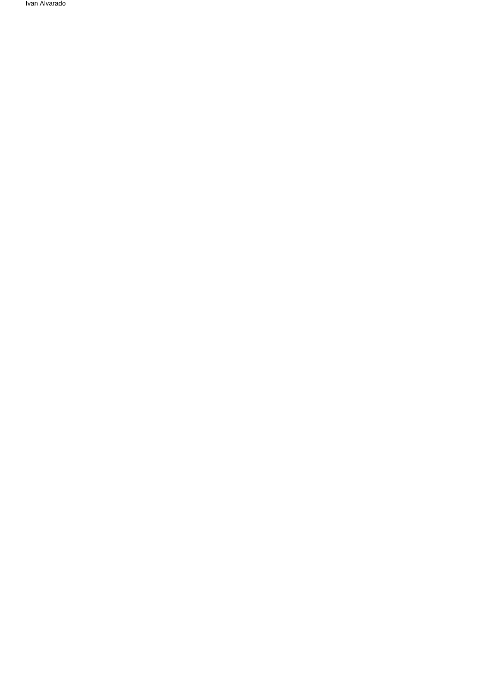Ivan Alvarado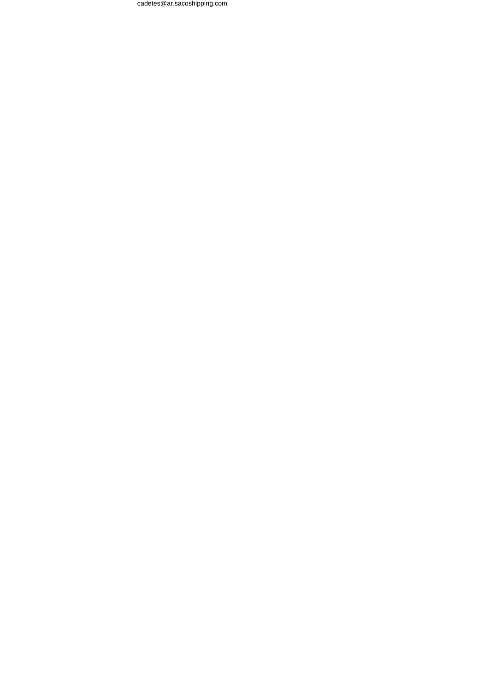cadetes@ar.sacoshipping.com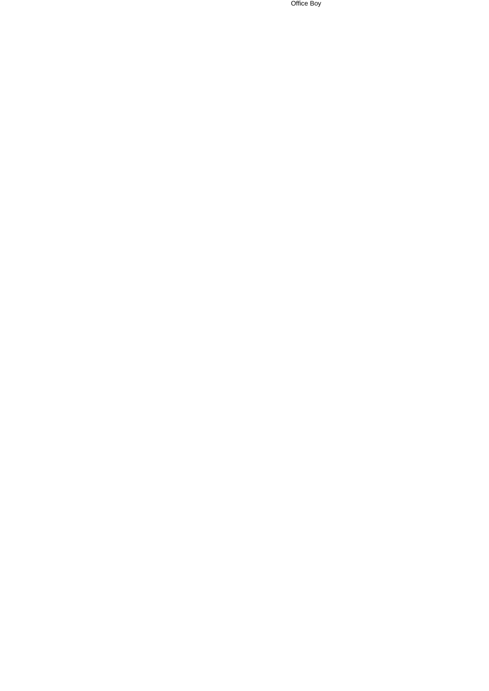Office Boy